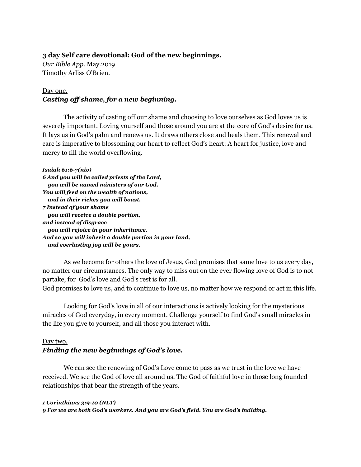## **3 day Self care devotional: God of the new beginnings.**

*Our Bible App.* May.2019 Timothy Arliss O'Brien.

# Day one. *Casting of shame, for a new beginning.*

The activity of casting off our shame and choosing to love ourselves as God loves us is severely important. Loving yourself and those around you are at the core of God's desire for us. It lays us in God's palm and renews us. It draws others close and heals them. This renewal and care is imperative to blossoming our heart to reflect God's heart: A heart for justice, love and mercy to fill the world overflowing.

```
Isaiah 61:6-7(niv)
6 And you will be called priests of the Lord,
   you will be named ministers of our God.
You will feed on the wealth of nations,
   and in their riches you will boast.
7 Instead of your shame
   you will receive a double portion,
and instead of disgrace
   you will rejoice in your inheritance.
And so you will inherit a double portion in your land,
   and everlasting joy will be yours.
```
As we become for others the love of Jesus, God promises that same love to us every day, no matter our circumstances. The only way to miss out on the ever flowing love of God is to not partake, for God's love and God's rest is for all.

God promises to love us, and to continue to love us, no matter how we respond or act in this life.

Looking for God's love in all of our interactions is actively looking for the mysterious miracles of God everyday, in every moment. Challenge yourself to find God's small miracles in the life you give to yourself, and all those you interact with.

# Day two.

# *Finding the new beginnings of God's love.*

We can see the renewing of God's Love come to pass as we trust in the love we have received. We see the God of love all around us. The God of faithful love in those long founded relationships that bear the strength of the years.

```
1 Corinthians 3:9-10 (NLT)
9 For we are both God's workers. And you are God's field. You are God's building.
```